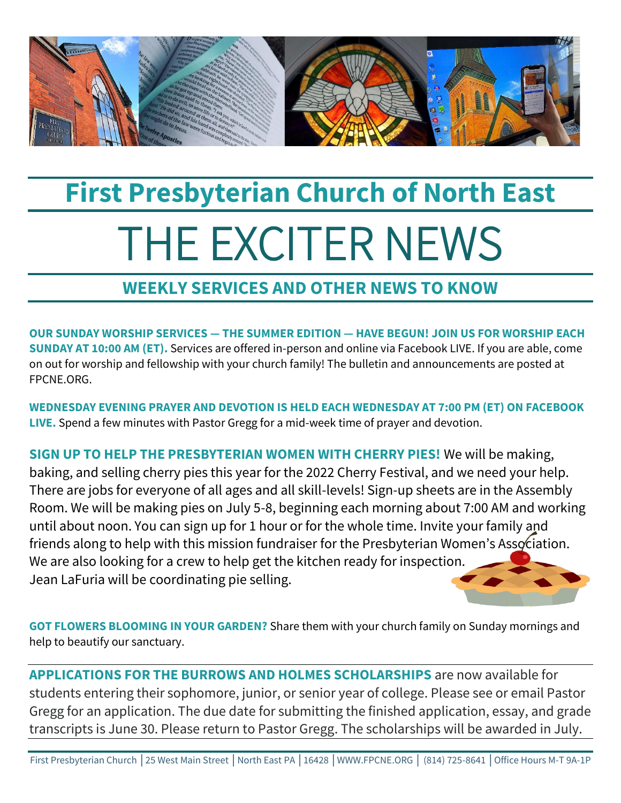

## **First Presbyterian Church of North East** THE EXCITER NEWS

## **WEEKLY SERVICES AND OTHER NEWS TO KNOW**

**OUR SUNDAY WORSHIP SERVICES — THE SUMMER EDITION — HAVE BEGUN! JOIN US FOR WORSHIP EACH SUNDAY AT 10:00 AM (ET).** Services are offered in-person and online via Facebook LIVE. If you are able, come on out for worship and fellowship with your church family! The bulletin and announcements are posted at FPCNE.ORG.

**WEDNESDAY EVENING PRAYER AND DEVOTION IS HELD EACH WEDNESDAY AT 7:00 PM (ET) ON FACEBOOK LIVE.** Spend a few minutes with Pastor Gregg for a mid-week time of prayer and devotion.

**SIGN UP TO HELP THE PRESBYTERIAN WOMEN WITH CHERRY PIES!** We will be making, baking, and selling cherry pies this year for the 2022 Cherry Festival, and we need your help. There are jobs for everyone of all ages and all skill-levels! Sign-up sheets are in the Assembly Room. We will be making pies on July 5-8, beginning each morning about 7:00 AM and working until about noon. You can sign up for 1 hour or for the whole time. Invite your family and friends along to help with this mission fundraiser for the Presbyterian Women's Association. We are also looking for a crew to help get the kitchen ready for inspection. Jean LaFuria will be coordinating pie selling.

**GOT FLOWERS BLOOMING IN YOUR GARDEN?** Share them with your church family on Sunday mornings and help to beautify our sanctuary.

**APPLICATIONS FOR THE BURROWS AND HOLMES SCHOLARSHIPS** are now available for students entering their sophomore, junior, or senior year of college. Please see or email Pastor Gregg for an application. The due date for submitting the finished application, essay, and grade transcripts is June 30. Please return to Pastor Gregg. The scholarships will be awarded in July.